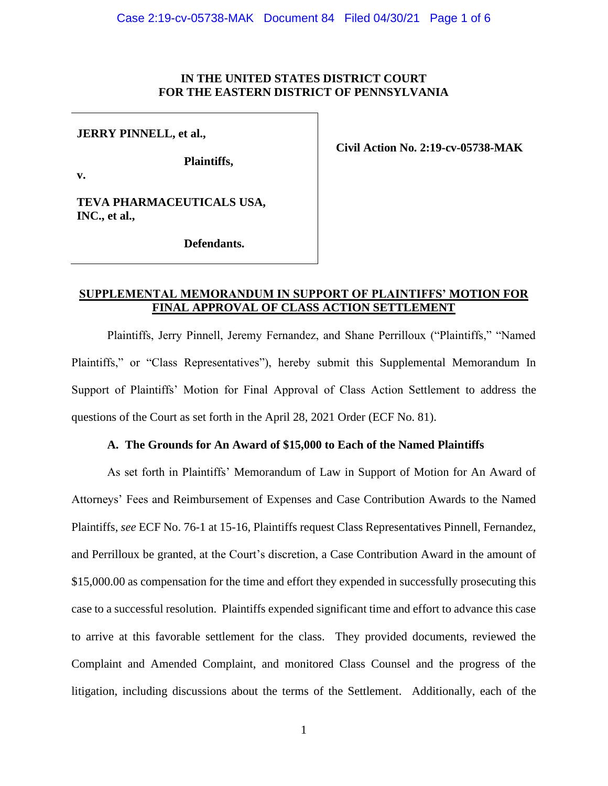## **IN THE UNITED STATES DISTRICT COURT FOR THE EASTERN DISTRICT OF PENNSYLVANIA**

## **JERRY PINNELL, et al.,**

**v.**

**Plaintiffs,**

**Civil Action No. 2:19-cv-05738-MAK**

**TEVA PHARMACEUTICALS USA, INC., et al.,** 

**Defendants.**

## **SUPPLEMENTAL MEMORANDUM IN SUPPORT OF PLAINTIFFS' MOTION FOR FINAL APPROVAL OF CLASS ACTION SETTLEMENT**

Plaintiffs, Jerry Pinnell, Jeremy Fernandez, and Shane Perrilloux ("Plaintiffs," "Named Plaintiffs," or "Class Representatives"), hereby submit this Supplemental Memorandum In Support of Plaintiffs' Motion for Final Approval of Class Action Settlement to address the questions of the Court as set forth in the April 28, 2021 Order (ECF No. 81).

## **A. The Grounds for An Award of \$15,000 to Each of the Named Plaintiffs**

As set forth in Plaintiffs' Memorandum of Law in Support of Motion for An Award of Attorneys' Fees and Reimbursement of Expenses and Case Contribution Awards to the Named Plaintiffs, *see* ECF No. 76-1 at 15-16, Plaintiffs request Class Representatives Pinnell, Fernandez, and Perrilloux be granted, at the Court's discretion, a Case Contribution Award in the amount of \$15,000.00 as compensation for the time and effort they expended in successfully prosecuting this case to a successful resolution. Plaintiffs expended significant time and effort to advance this case to arrive at this favorable settlement for the class. They provided documents, reviewed the Complaint and Amended Complaint, and monitored Class Counsel and the progress of the litigation, including discussions about the terms of the Settlement. Additionally, each of the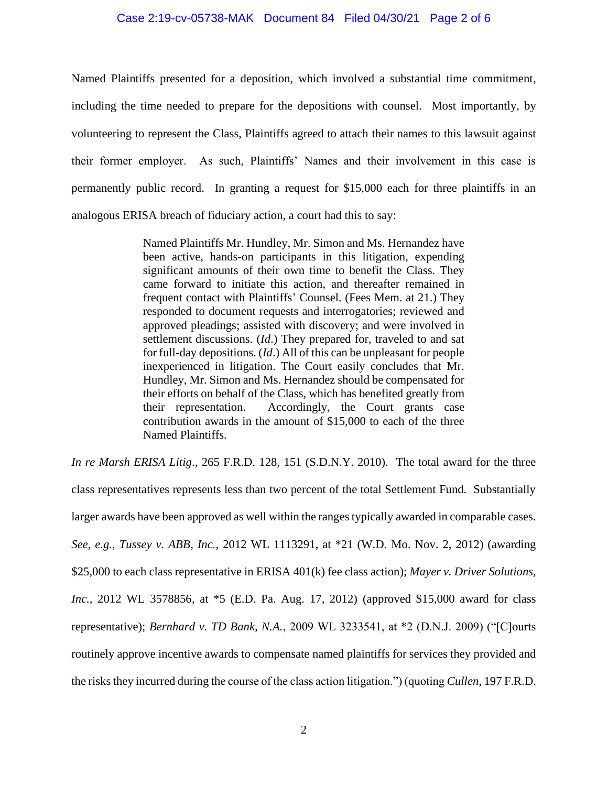## Case 2:19-cv-05738-MAK Document 84 Filed 04/30/21 Page 2 of 6

Named Plaintiffs presented for a deposition, which involved a substantial time commitment, including the time needed to prepare for the depositions with counsel. Most importantly, by volunteering to represent the Class, Plaintiffs agreed to attach their names to this lawsuit against their former employer. As such, Plaintiffs' Names and their involvement in this case is permanently public record. In granting a request for \$15,000 each for three plaintiffs in an analogous ERISA breach of fiduciary action, a court had this to say:

> Named Plaintiffs Mr. Hundley, Mr. Simon and Ms. Hernandez have been active, hands-on participants in this litigation, expending significant amounts of their own time to benefit the Class. They came forward to initiate this action, and thereafter remained in frequent contact with Plaintiffs' Counsel. (Fees Mem. at 21.) They responded to document requests and interrogatories; reviewed and approved pleadings; assisted with discovery; and were involved in settlement discussions. (*Id*.) They prepared for, traveled to and sat for full-day depositions. (*Id*.) All of this can be unpleasant for people inexperienced in litigation. The Court easily concludes that Mr. Hundley, Mr. Simon and Ms. Hernandez should be compensated for their efforts on behalf of the Class, which has benefited greatly from their representation. Accordingly, the Court grants case contribution awards in the amount of \$15,000 to each of the three Named Plaintiffs.

*In re Marsh ERISA Litig*., 265 F.R.D. 128, 151 (S.D.N.Y. 2010). The total award for the three class representatives represents less than two percent of the total Settlement Fund. Substantially larger awards have been approved as well within the ranges typically awarded in comparable cases. *See, e.g., Tussey v. ABB, Inc.*, 2012 WL 1113291, at \*21 (W.D. Mo. Nov. 2, 2012) (awarding \$25,000 to each class representative in ERISA 401(k) fee class action); *Mayer v. Driver Solutions, Inc.*, 2012 WL 3578856, at \*5 (E.D. Pa. Aug. 17, 2012) (approved \$15,000 award for class representative); *Bernhard v. TD Bank, N.A.*, 2009 WL 3233541, at \*2 (D.N.J. 2009) ("[C]ourts routinely approve incentive awards to compensate named plaintiffs for services they provided and the risks they incurred during the course of the class action litigation.") (quoting *Cullen*, 197 F.R.D.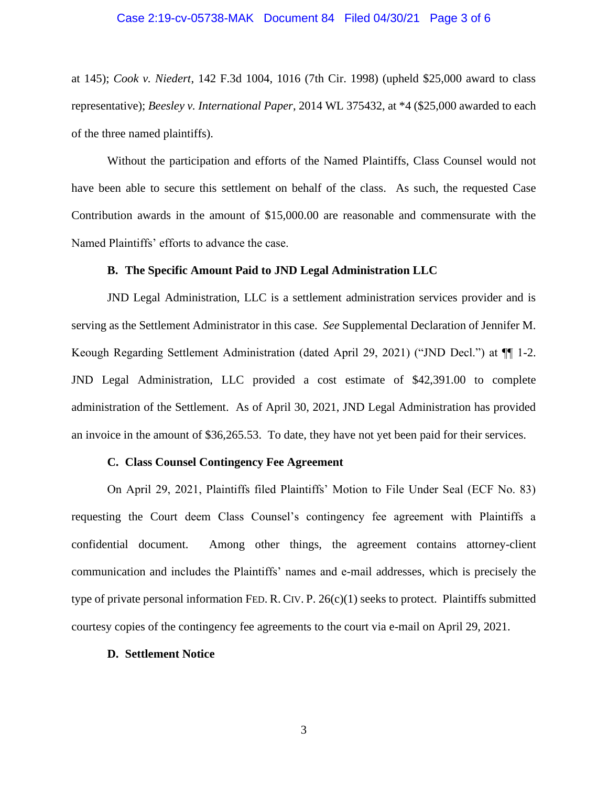at 145); *Cook v. Niedert*, 142 F.3d 1004, 1016 (7th Cir. 1998) (upheld \$25,000 award to class representative); *Beesley v. International Paper*, 2014 WL 375432, at \*4 (\$25,000 awarded to each of the three named plaintiffs).

Without the participation and efforts of the Named Plaintiffs, Class Counsel would not have been able to secure this settlement on behalf of the class. As such, the requested Case Contribution awards in the amount of \$15,000.00 are reasonable and commensurate with the Named Plaintiffs' efforts to advance the case.

## **B. The Specific Amount Paid to JND Legal Administration LLC**

JND Legal Administration, LLC is a settlement administration services provider and is serving as the Settlement Administrator in this case. *See* Supplemental Declaration of Jennifer M. Keough Regarding Settlement Administration (dated April 29, 2021) ("JND Decl.") at ¶¶ 1-2. JND Legal Administration, LLC provided a cost estimate of \$42,391.00 to complete administration of the Settlement. As of April 30, 2021, JND Legal Administration has provided an invoice in the amount of \$36,265.53. To date, they have not yet been paid for their services.

#### **C. Class Counsel Contingency Fee Agreement**

On April 29, 2021, Plaintiffs filed Plaintiffs' Motion to File Under Seal (ECF No. 83) requesting the Court deem Class Counsel's contingency fee agreement with Plaintiffs a confidential document. Among other things, the agreement contains attorney-client communication and includes the Plaintiffs' names and e-mail addresses, which is precisely the type of private personal information FED. R. CIV. P. 26(c)(1) seeks to protect. Plaintiffs submitted courtesy copies of the contingency fee agreements to the court via e-mail on April 29, 2021.

#### **D. Settlement Notice**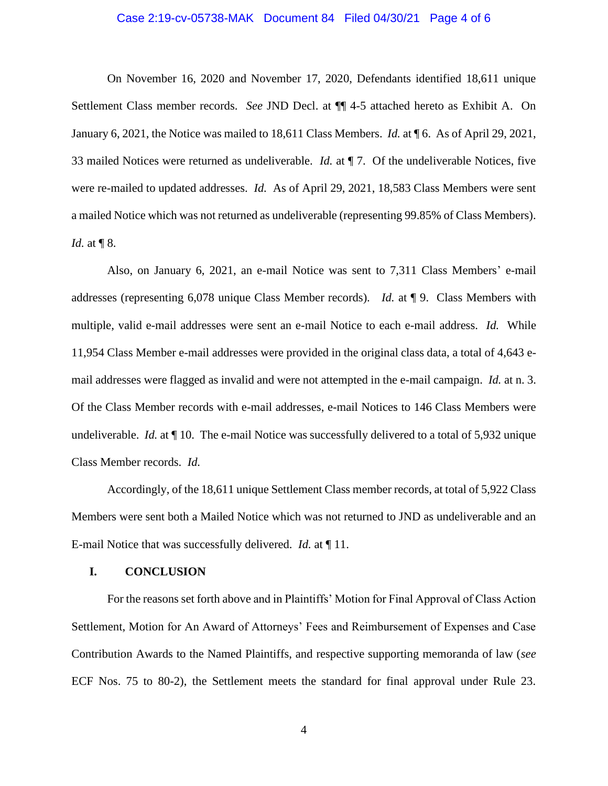## Case 2:19-cv-05738-MAK Document 84 Filed 04/30/21 Page 4 of 6

On November 16, 2020 and November 17, 2020, Defendants identified 18,611 unique Settlement Class member records. *See* JND Decl. at ¶¶ 4-5 attached hereto as Exhibit A. On January 6, 2021, the Notice was mailed to 18,611 Class Members. *Id.* at ¶ 6. As of April 29, 2021, 33 mailed Notices were returned as undeliverable. *Id.* at ¶ 7. Of the undeliverable Notices, five were re-mailed to updated addresses. *Id.* As of April 29, 2021, 18,583 Class Members were sent a mailed Notice which was not returned as undeliverable (representing 99.85% of Class Members). *Id.* at **[** $\sqrt{8}$ .

Also, on January 6, 2021, an e-mail Notice was sent to 7,311 Class Members' e-mail addresses (representing 6,078 unique Class Member records). *Id.* at ¶ 9. Class Members with multiple, valid e-mail addresses were sent an e-mail Notice to each e-mail address. *Id.* While 11,954 Class Member e-mail addresses were provided in the original class data, a total of 4,643 email addresses were flagged as invalid and were not attempted in the e-mail campaign. *Id.* at n. 3. Of the Class Member records with e-mail addresses, e-mail Notices to 146 Class Members were undeliverable. *Id.* at  $\P$  10. The e-mail Notice was successfully delivered to a total of 5,932 unique Class Member records. *Id.* 

Accordingly, of the 18,611 unique Settlement Class member records, at total of 5,922 Class Members were sent both a Mailed Notice which was not returned to JND as undeliverable and an E-mail Notice that was successfully delivered. *Id.* at ¶ 11.

## **I. CONCLUSION**

For the reasons set forth above and in Plaintiffs' Motion for Final Approval of Class Action Settlement, Motion for An Award of Attorneys' Fees and Reimbursement of Expenses and Case Contribution Awards to the Named Plaintiffs, and respective supporting memoranda of law (*see*  ECF Nos. 75 to 80-2), the Settlement meets the standard for final approval under Rule 23.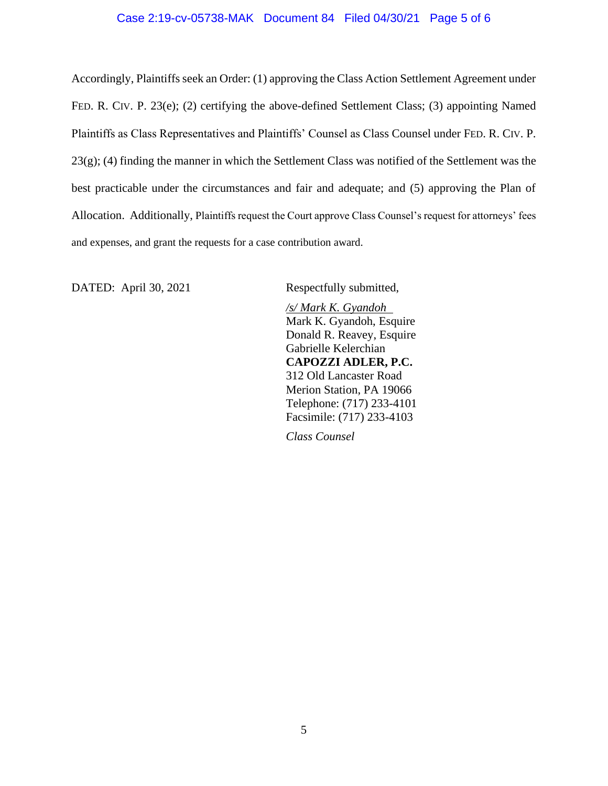## Case 2:19-cv-05738-MAK Document 84 Filed 04/30/21 Page 5 of 6

Accordingly, Plaintiffs seek an Order: (1) approving the Class Action Settlement Agreement under FED. R. CIV. P. 23(e); (2) certifying the above-defined Settlement Class; (3) appointing Named Plaintiffs as Class Representatives and Plaintiffs' Counsel as Class Counsel under FED. R. CIV. P.  $23(g)$ ; (4) finding the manner in which the Settlement Class was notified of the Settlement was the best practicable under the circumstances and fair and adequate; and (5) approving the Plan of Allocation. Additionally, Plaintiffs request the Court approve Class Counsel's request for attorneys' fees and expenses, and grant the requests for a case contribution award.

DATED: April 30, 2021 Respectfully submitted,

*/s/ Mark K. Gyandoh* Mark K. Gyandoh, Esquire Donald R. Reavey, Esquire Gabrielle Kelerchian **CAPOZZI ADLER, P.C.** 312 Old Lancaster Road Merion Station, PA 19066 Telephone: (717) 233-4101 Facsimile: (717) 233-4103

*Class Counsel*